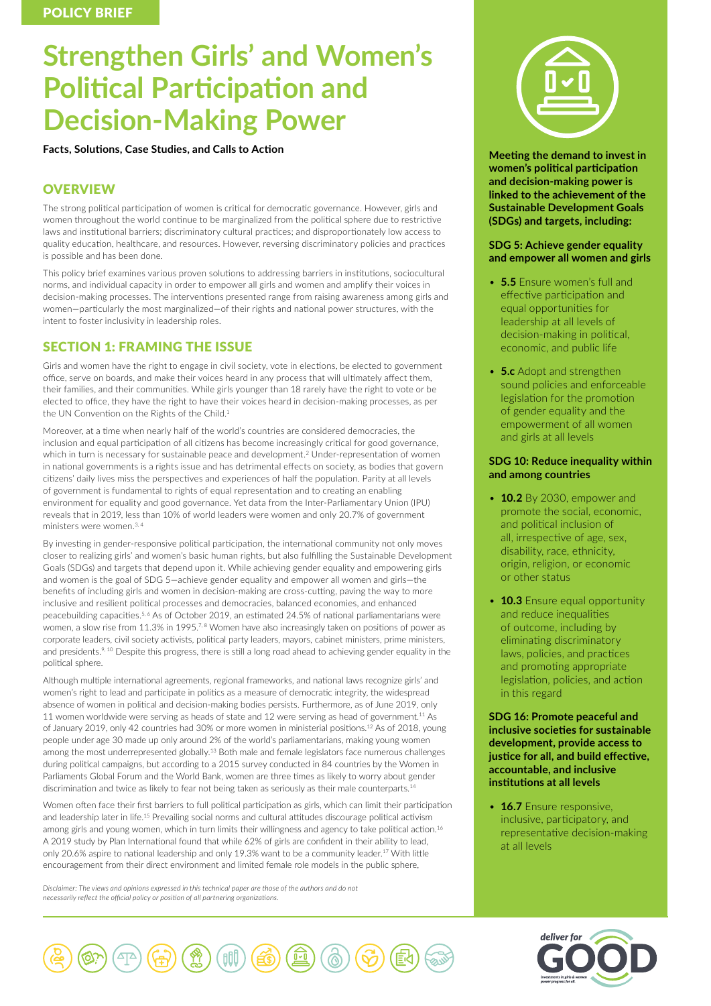# **Strengthen Girls' and Women's Political Participation and Decision-Making Power**

**Facts, Solutions, Case Studies, and Calls to Action**

# **OVERVIEW**

The strong political participation of women is critical for democratic governance. However, girls and women throughout the world continue to be marginalized from the political sphere due to restrictive laws and institutional barriers; discriminatory cultural practices; and disproportionately low access to quality education, healthcare, and resources. However, reversing discriminatory policies and practices is possible and has been done.

This policy brief examines various proven solutions to addressing barriers in institutions, sociocultural norms, and individual capacity in order to empower all girls and women and amplify their voices in decision-making processes. The interventions presented range from raising awareness among girls and women—particularly the most marginalized—of their rights and national power structures, with the intent to foster inclusivity in leadership roles.

# SECTION 1: FRAMING THE ISSUE

Girls and women have the right to engage in civil society, vote in elections, be elected to government office, serve on boards, and make their voices heard in any process that will ultimately affect them, their families, and their communities. While girls younger than 18 rarely have the right to vote or be elected to office, they have the right to have their voices heard in decision-making processes, as per the UN Convention on the Rights of the Child.<sup>1</sup>

Moreover, at a time when nearly half of the world's countries are considered democracies, the inclusion and equal participation of all citizens has become increasingly critical for good governance, which in turn is necessary for sustainable peace and development.2 Under-representation of women in national governments is a rights issue and has detrimental effects on society, as bodies that govern citizens' daily lives miss the perspectives and experiences of half the population. Parity at all levels of government is fundamental to rights of equal representation and to creating an enabling environment for equality and good governance. Yet data from the Inter-Parliamentary Union (IPU) reveals that in 2019, less than 10% of world leaders were women and only 20.7% of government ministers were women 3,4

By investing in gender-responsive political participation, the international community not only moves closer to realizing girls' and women's basic human rights, but also fulfilling the Sustainable Development Goals (SDGs) and targets that depend upon it. While achieving gender equality and empowering girls and women is the goal of SDG 5—achieve gender equality and empower all women and girls—the benefits of including girls and women in decision-making are cross-cutting, paving the way to more inclusive and resilient political processes and democracies, balanced economies, and enhanced peacebuilding capacities.<sup>5, 6</sup> As of October 2019, an estimated 24.5% of national parliamentarians were women, a slow rise from 11.3% in 1995.<sup>7, 8</sup> Women have also increasingly taken on positions of power as corporate leaders, civil society activists, political party leaders, mayors, cabinet ministers, prime ministers, and presidents.<sup>9, 10</sup> Despite this progress, there is still a long road ahead to achieving gender equality in the political sphere.

Although multiple international agreements, regional frameworks, and national laws recognize girls' and women's right to lead and participate in politics as a measure of democratic integrity, the widespread absence of women in political and decision-making bodies persists. Furthermore, as of June 2019, only 11 women worldwide were serving as heads of state and 12 were serving as head of government.11 As of January 2019, only 42 countries had 30% or more women in ministerial positions.12 As of 2018, young people under age 30 made up only around 2% of the world's parliamentarians, making young women among the most underrepresented globally.13 Both male and female legislators face numerous challenges during political campaigns, but according to a 2015 survey conducted in 84 countries by the Women in Parliaments Global Forum and the World Bank, women are three times as likely to worry about gender discrimination and twice as likely to fear not being taken as seriously as their male counterparts.<sup>14</sup>

Women often face their first barriers to full political participation as girls, which can limit their participation and leadership later in life.15 Prevailing social norms and cultural attitudes discourage political activism among girls and young women, which in turn limits their willingness and agency to take political action.<sup>16</sup> A 2019 study by Plan International found that while 62% of girls are confident in their ability to lead, only 20.6% aspire to national leadership and only 19.3% want to be a community leader.<sup>17</sup> With little encouragement from their direct environment and limited female role models in the public sphere,

*Disclaimer: The views and opinions expressed in this technical paper are those of the authors and do not necessarily reflect the official policy or position of all partnering organizations.*



**Meeting the demand to invest in women's political participation and decision-making power is linked to the achievement of the Sustainable Development Goals (SDGs) and targets, including:**

## **SDG 5: Achieve gender equality and empower all women and girls**

- **5.5** Ensure women's full and effective participation and equal opportunities for leadership at all levels of decision-making in political, economic, and public life
- **5.c** Adopt and strengthen sound policies and enforceable legislation for the promotion of gender equality and the empowerment of all women and girls at all levels

# **SDG 10: Reduce inequality within and among countries**

- **10.2** By 2030, empower and promote the social, economic, and political inclusion of all, irrespective of age, sex, disability, race, ethnicity, origin, religion, or economic or other status
- **10.3** Ensure equal opportunity and reduce inequalities of outcome, including by eliminating discriminatory laws, policies, and practices and promoting appropriate legislation, policies, and action in this regard

**SDG 16: Promote peaceful and inclusive societies for sustainable development, provide access to justice for all, and build effective, accountable, and inclusive institutions at all levels**

• **16.7** Ensure responsive, inclusive, participatory, and representative decision-making at all levels



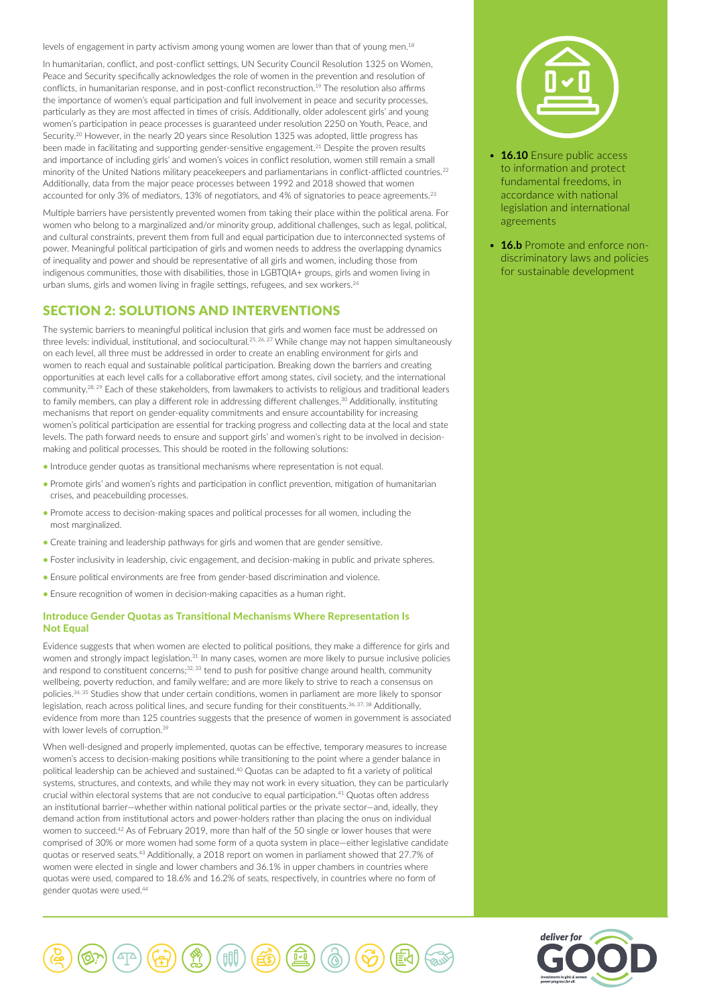levels of engagement in party activism among young women are lower than that of young men.<sup>18</sup>

In humanitarian, conflict, and post-conflict settings, UN Security Council Resolution 1325 on Women, Peace and Security specifically acknowledges the role of women in the prevention and resolution of conflicts, in humanitarian response, and in post-conflict reconstruction.19 The resolution also affirms the importance of women's equal participation and full involvement in peace and security processes, particularly as they are most affected in times of crisis. Additionally, older adolescent girls' and young women's participation in peace processes is guaranteed under resolution 2250 on Youth, Peace, and Security.<sup>20</sup> However, in the nearly 20 years since Resolution 1325 was adopted, little progress has been made in facilitating and supporting gender-sensitive engagement.<sup>21</sup> Despite the proven results and importance of including girls' and women's voices in conflict resolution, women still remain a small minority of the United Nations military peacekeepers and parliamentarians in conflict-afflicted countries.<sup>22</sup> Additionally, data from the major peace processes between 1992 and 2018 showed that women accounted for only 3% of mediators, 13% of negotiators, and 4% of signatories to peace agreements.<sup>23</sup>

Multiple barriers have persistently prevented women from taking their place within the political arena. For women who belong to a marginalized and/or minority group, additional challenges, such as legal, political, and cultural constraints, prevent them from full and equal participation due to interconnected systems of power. Meaningful political participation of girls and women needs to address the overlapping dynamics of inequality and power and should be representative of all girls and women, including those from indigenous communities, those with disabilities, those in LGBTQIA+ groups, girls and women living in urban slums, girls and women living in fragile settings, refugees, and sex workers.<sup>24</sup>

# SECTION 2: SOLUTIONS AND INTERVENTIONS

The systemic barriers to meaningful political inclusion that girls and women face must be addressed on three levels: individual, institutional, and sociocultural*.* 25, 26, 27 While change may not happen simultaneously on each level, all three must be addressed in order to create an enabling environment for girls and women to reach equal and sustainable political participation. Breaking down the barriers and creating opportunities at each level calls for a collaborative effort among states, civil society, and the international community.28, 29 Each of these stakeholders, from lawmakers to activists to religious and traditional leaders to family members, can play a different role in addressing different challenges.<sup>30</sup> Additionally, instituting mechanisms that report on gender-equality commitments and ensure accountability for increasing women's political participation are essential for tracking progress and collecting data at the local and state levels. The path forward needs to ensure and support girls' and women's right to be involved in decisionmaking and political processes. This should be rooted in the following solutions:

- Introduce gender quotas as transitional mechanisms where representation is not equal.
- Promote girls' and women's rights and participation in conflict prevention, mitigation of humanitarian crises, and peacebuilding processes.
- Promote access to decision-making spaces and political processes for all women, including the most marginalized.
- Create training and leadership pathways for girls and women that are gender sensitive.
- Foster inclusivity in leadership, civic engagement, and decision-making in public and private spheres.
- Ensure political environments are free from gender-based discrimination and violence.
- Ensure recognition of women in decision-making capacities as a human right.

## Introduce Gender Quotas as Transitional Mechanisms Where Representation Is **Not Equal**

Evidence suggests that when women are elected to political positions, they make a difference for girls and women and strongly impact legislation.<sup>31</sup> In many cases, women are more likely to pursue inclusive policies and respond to constituent concerns;<sup>32, 33</sup> tend to push for positive change around health, community wellbeing, poverty reduction, and family welfare; and are more likely to strive to reach a consensus on policies.34, 35 Studies show that under certain conditions, women in parliament are more likely to sponsor legislation, reach across political lines, and secure funding for their constituents.<sup>36, 37, 38</sup> Additionally, evidence from more than 125 countries suggests that the presence of women in government is associated with lower levels of corruption.<sup>39</sup>

When well-designed and properly implemented, quotas can be effective, temporary measures to increase women's access to decision-making positions while transitioning to the point where a gender balance in political leadership can be achieved and sustained.40 Quotas can be adapted to fit a variety of political systems, structures, and contexts, and while they may not work in every situation, they can be particularly crucial within electoral systems that are not conducive to equal participation.41 Quotas often address an institutional barrier—whether within national political parties or the private sector—and, ideally, they demand action from institutional actors and power-holders rather than placing the onus on individual women to succeed.<sup>42</sup> As of February 2019, more than half of the 50 single or lower houses that were comprised of 30% or more women had some form of a quota system in place—either legislative candidate quotas or reserved seats.43 Additionally, a 2018 report on women in parliament showed that 27.7% of women were elected in single and lower chambers and 36.1% in upper chambers in countries where quotas were used, compared to 18.6% and 16.2% of seats, respectively, in countries where no form of gender quotas were used.44





- **16.10** Ensure public access to information and protect fundamental freedoms, in accordance with national legislation and international agreements
- **16.b** Promote and enforce nondiscriminatory laws and policies for sustainable development

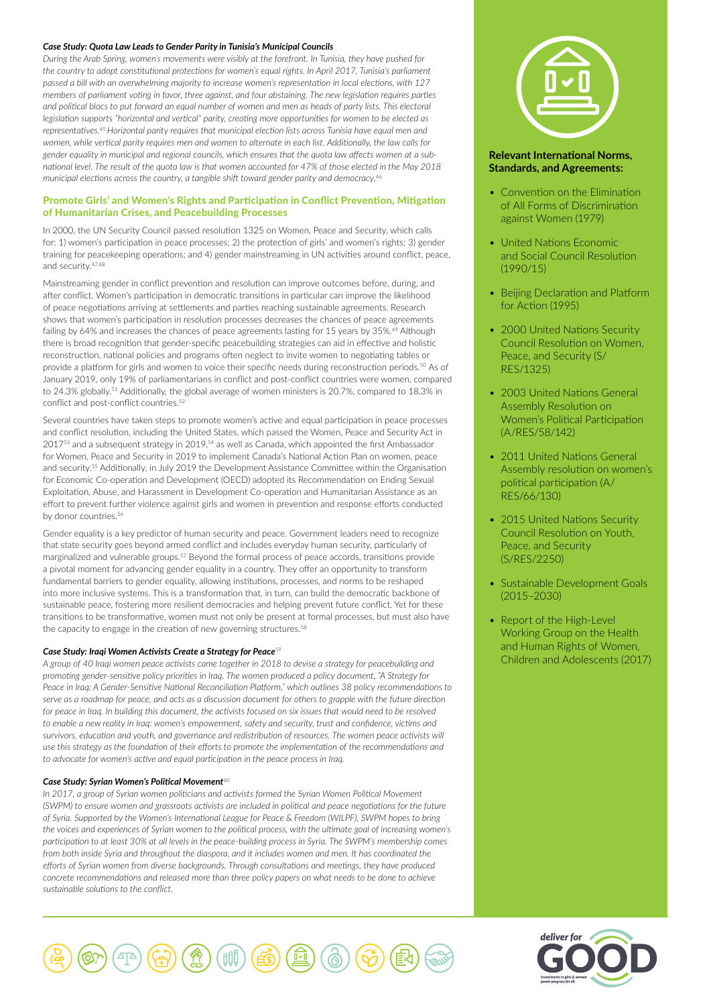#### *Case Study: Quota Law Leads to Gender Parity in Tunisia's Municipal Councils*

*During the Arab Spring, women's movements were visibly at the forefront. In Tunisia, they have pushed for the country to adopt constitutional protections for women's equal rights. In April 2017, Tunisia's parliament passed a bill with an overwhelming majority to increase women's representation in local elections, with 127 members of parliament voting in favor, three against, and four abstaining. The new legislation requires parties* and political blocs to put forward an equal number of women and men as heads of party lists. This electoral *legislation supports "horizontal and vertical" parity, creating more opportunities for women to be elected as representatives.*<sup>45</sup> *Horizontal parity requires that municipal election lists across Tunisia have equal men and women, while vertical parity requires men and women to alternate in each list. Additionally, the law calls for gender equality in municipal and regional councils, which ensures that the quota law affects women at a subnational level. The result of the quota law is that women accounted for 47% of those elected in the May 2018 municipal elections across the country, a tangible shift toward gender parity and democracy.*<sup>46</sup>

# Promote Girls' and Women's Rights and Participation in Conflict Prevention, Mitigation of Humanitarian Crises, and Peacebuilding Processes

In 2000, the UN Security Council passed resolution 1325 on Women, Peace and Security, which calls for: 1) women's participation in peace processes; 2) the protection of girls' and women's rights; 3) gender training for peacekeeping operations; and 4) gender mainstreaming in UN activities around conflict, peace, and security.47,48

Mainstreaming gender in conflict prevention and resolution can improve outcomes before, during, and after conflict. Women's participation in democratic transitions in particular can improve the likelihood of peace negotiations arriving at settlements and parties reaching sustainable agreements. Research shows that women's participation in resolution processes decreases the chances of peace agreements failing by 64% and increases the chances of peace agreements lasting for 15 years by 35%.<sup>49</sup> Although there is broad recognition that gender-specific peacebuilding strategies can aid in effective and holistic reconstruction, national policies and programs often neglect to invite women to negotiating tables or provide a platform for girls and women to voice their specific needs during reconstruction periods.<sup>50</sup> As of January 2019, only 19% of parliamentarians in conflict and post-conflict countries were women, compared to 24.3% globally.<sup>51</sup> Additionally, the global average of women ministers is 20.7%, compared to 18.3% in conflict and post-conflict countries.<sup>52</sup>

Several countries have taken steps to promote women's active and equal participation in peace processes and conflict resolution, including the United States, which passed the Women, Peace and Security Act in 201753 and a subsequent strategy in 2019,54 as well as Canada, which appointed the first Ambassador for Women, Peace and Security in 2019 to implement Canada's National Action Plan on women, peace and security.55 Additionally, in July 2019 the Development Assistance Committee within the Organisation for Economic Co-operation and Development (OECD) adopted its Recommendation on Ending Sexual Exploitation, Abuse, and Harassment in Development Co-operation and Humanitarian Assistance as an effort to prevent further violence against girls and women in prevention and response efforts conducted by donor countries.<sup>56</sup>

Gender equality is a key predictor of human security and peace. Government leaders need to recognize that state security goes beyond armed conflict and includes everyday human security, particularly of marginalized and vulnerable groups.57 Beyond the formal process of peace accords, transitions provide a pivotal moment for advancing gender equality in a country. They offer an opportunity to transform fundamental barriers to gender equality, allowing institutions, processes, and norms to be reshaped into more inclusive systems. This is a transformation that, in turn, can build the democratic backbone of sustainable peace, fostering more resilient democracies and helping prevent future conflict. Yet for these transitions to be transformative, women must not only be present at formal processes, but must also have the capacity to engage in the creation of new governing structures.<sup>58</sup>

### *Case Study: Iraqi Women Activists Create a Strategy for Peace*<sup>59</sup>

*A group of 40 Iraqi women peace activists came together in 2018 to devise a strategy for peacebuilding and promoting gender-sensitive policy priorities in Iraq. The women produced a policy document, "A Strategy for Peace in Iraq: A Gender-Sensitive National Reconciliation Platform," which outlines 38 policy recommendations to serve as a roadmap for peace, and acts as a discussion document for others to grapple with the future direction for peace in Iraq. In building this document, the activists focused on six issues that would need to be resolved to enable a new reality in Iraq: women's empowerment, safety and security, trust and confidence, victims and survivors, education and youth, and governance and redistribution of resources. The women peace activists will use this strategy as the foundation of their efforts to promote the implementation of the recommendations and to advocate for women's active and equal participation in the peace process in Iraq.*

### **Case Study: Syrian Women's Political Movement**<sup>60</sup>

*In 2017, a group of Syrian women politicians and activists formed the Syrian Women Political Movement (SWPM) to ensure women and grassroots activists are included in political and peace negotiations for the future of Syria. Supported by the Women's International League for Peace & Freedom (WILPF), SWPM hopes to bring the voices and experiences of Syrian women to the political process, with the ultimate goal of increasing women's participation to at least 30% at all levels in the peace-building process in Syria. The SWPM's membership comes from both inside Syria and throughout the diaspora, and it includes women and men. It has coordinated the efforts of Syrian women from diverse backgrounds. Through consultations and meetings, they have produced concrete recommendations and released more than three policy papers on what needs to be done to achieve sustainable solutions to the conflict.*



## **Relevant International Norms, Standards, and Agreements:**

- Convention on the Elimination of All Forms of Discrimination against Women (1979)
- United Nations Economic and Social Council Resolution (1990/15)
- Beijing Declaration and Platform for Action (1995)
- 2000 United Nations Security Council Resolution on Women, Peace, and Security (S/ RES/1325)
- 2003 United Nations General Assembly Resolution on Women's Political Participation (A/RES/58/142)
- 2011 United Nations General Assembly resolution on women's political participation (A/ RES/66/130)
- 2015 United Nations Security Council Resolution on Youth, Peace, and Security (S/RES/2250)
- Sustainable Development Goals (2015–2030)
- Report of the High-Level Working Group on the Health and Human Rights of Women, Children and Adolescents (2017)



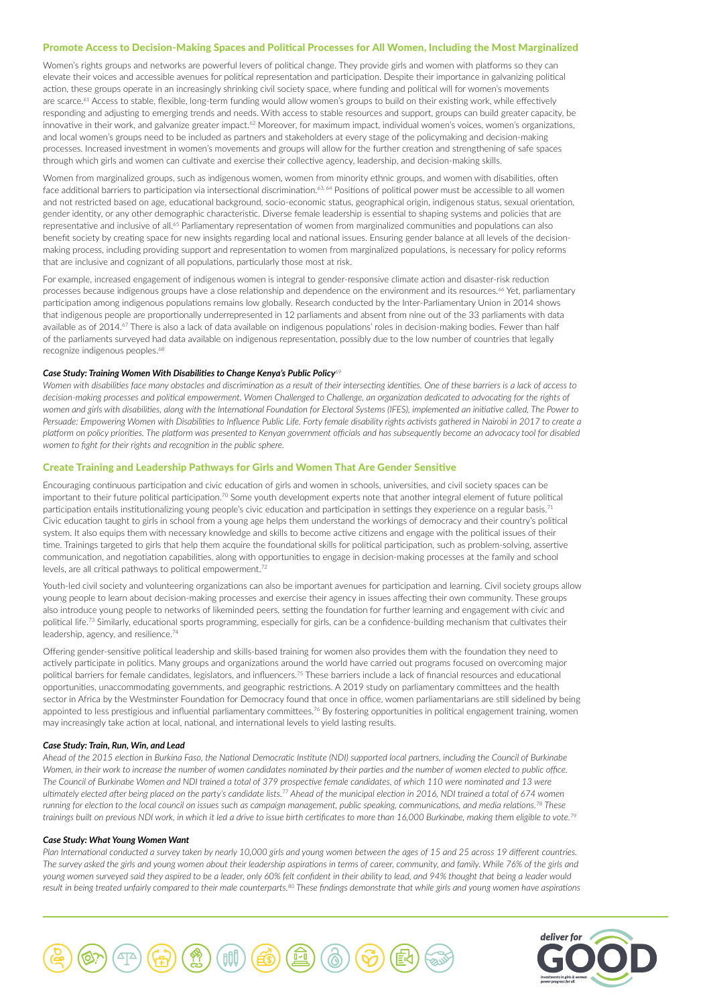## Promote Access to Decision-Making Spaces and Political Processes for All Women, Including the Most Marginalized

Women's rights groups and networks are powerful levers of political change. They provide girls and women with platforms so they can elevate their voices and accessible avenues for political representation and participation. Despite their importance in galvanizing political action, these groups operate in an increasingly shrinking civil society space, where funding and political will for women's movements are scarce.<sup>61</sup> Access to stable, flexible, long-term funding would allow women's groups to build on their existing work, while effectively responding and adjusting to emerging trends and needs. With access to stable resources and support, groups can build greater capacity, be innovative in their work, and galvanize greater impact.<sup>62</sup> Moreover, for maximum impact, individual women's voices, women's organizations, and local women's groups need to be included as partners and stakeholders at every stage of the policymaking and decision-making processes. Increased investment in women's movements and groups will allow for the further creation and strengthening of safe spaces through which girls and women can cultivate and exercise their collective agency, leadership, and decision-making skills.

Women from marginalized groups, such as indigenous women, women from minority ethnic groups, and women with disabilities, often face additional barriers to participation via intersectional discrimination.<sup>63, 64</sup> Positions of political power must be accessible to all women and not restricted based on age, educational background, socio-economic status, geographical origin, indigenous status, sexual orientation, gender identity, or any other demographic characteristic. Diverse female leadership is essential to shaping systems and policies that are representative and inclusive of all.<sup>65</sup> Parliamentary representation of women from marginalized communities and populations can also benefit society by creating space for new insights regarding local and national issues. Ensuring gender balance at all levels of the decisionmaking process, including providing support and representation to women from marginalized populations, is necessary for policy reforms that are inclusive and cognizant of all populations, particularly those most at risk.

For example, increased engagement of indigenous women is integral to gender-responsive climate action and disaster-risk reduction processes because indigenous groups have a close relationship and dependence on the environment and its resources.<sup>66</sup> Yet, parliamentary participation among indigenous populations remains low globally. Research conducted by the Inter-Parliamentary Union in 2014 shows that indigenous people are proportionally underrepresented in 12 parliaments and absent from nine out of the 33 parliaments with data available as of 2014.<sup>67</sup> There is also a lack of data available on indigenous populations' roles in decision-making bodies. Fewer than half of the parliaments surveyed had data available on indigenous representation, possibly due to the low number of countries that legally recognize indigenous peoples.<sup>68</sup>

#### *Case Study: Training Women With Disabilities to Change Kenya's Public Policy*<sup>69</sup>

*Women with disabilities face many obstacles and discrimination as a result of their intersecting identities. One of these barriers is a lack of access to decision-making processes and political empowerment. Women Challenged to Challenge, an organization dedicated to advocating for the rights of women and girls with disabilities, along with the International Foundation for Electoral Systems (IFES), implemented an initiative called, The Power to*  Persuade: Empowering Women with Disabilities to Influence Public Life. Forty female disability rights activists gathered in Nairobi in 2017 to create a platform on policy priorities. The platform was presented to Kenyan government officials and has subsequently become an advocacy tool for disabled *women to fight for their rights and recognition in the public sphere.*

## Create Training and Leadership Pathways for Girls and Women That Are Gender Sensitive

Encouraging continuous participation and civic education of girls and women in schools, universities, and civil society spaces can be important to their future political participation.<sup>70</sup> Some youth development experts note that another integral element of future political participation entails institutionalizing young people's civic education and participation in settings they experience on a regular basis.<sup>71</sup> Civic education taught to girls in school from a young age helps them understand the workings of democracy and their country's political system. It also equips them with necessary knowledge and skills to become active citizens and engage with the political issues of their time. Trainings targeted to girls that help them acquire the foundational skills for political participation, such as problem-solving, assertive communication, and negotiation capabilities, along with opportunities to engage in decision-making processes at the family and school levels, are all critical pathways to political empowerment.72

Youth-led civil society and volunteering organizations can also be important avenues for participation and learning. Civil society groups allow young people to learn about decision-making processes and exercise their agency in issues affecting their own community. These groups also introduce young people to networks of likeminded peers, setting the foundation for further learning and engagement with civic and political life.<sup>73</sup> Similarly, educational sports programming, especially for girls, can be a confidence-building mechanism that cultivates their leadership, agency, and resilience.74

Offering gender-sensitive political leadership and skills-based training for women also provides them with the foundation they need to actively participate in politics. Many groups and organizations around the world have carried out programs focused on overcoming major political barriers for female candidates, legislators, and influencers.75 These barriers include a lack of financial resources and educational opportunities, unaccommodating governments, and geographic restrictions. A 2019 study on parliamentary committees and the health sector in Africa by the Westminster Foundation for Democracy found that once in office, women parliamentarians are still sidelined by being appointed to less prestigious and influential parliamentary committees.<sup>76</sup> By fostering opportunities in political engagement training, women may increasingly take action at local, national, and international levels to yield lasting results.

#### *Case Study: Train, Run, Win, and Lead*

*Ahead of the 2015 election in Burkina Faso, the National Democratic Institute (NDI) supported local partners, including the Council of Burkinabe Women, in their work to increase the number of women candidates nominated by their parties and the number of women elected to public office.*  The Council of Burkinabe Women and NDI trained a total of 379 prospective female candidates, of which 110 were nominated and 13 were *ultimately elected after being placed on the party's candidate lists.*77 *Ahead of the municipal election in 2016, NDI trained a total of 674 women running for election to the local council on issues such as campaign management, public speaking, communications, and media relations.*78 *These trainings built on previous NDI work, in which it led a drive to issue birth certificates to more than 16,000 Burkinabe, making them eligible to vote.*<sup>79</sup>

#### *Case Study: What Young Women Want*

*Plan International conducted a survey taken by nearly 10,000 girls and young women between the ages of 15 and 25 across 19 different countries. The survey asked the girls and young women about their leadership aspirations in terms of career, community, and family. While 76% of the girls and young women surveyed said they aspired to be a leader, only 60% felt confident in their ability to lead, and 94% thought that being a leader would result in being treated unfairly compared to their male counterparts.*80 *These findings demonstrate that while girls and young women have aspirations* 



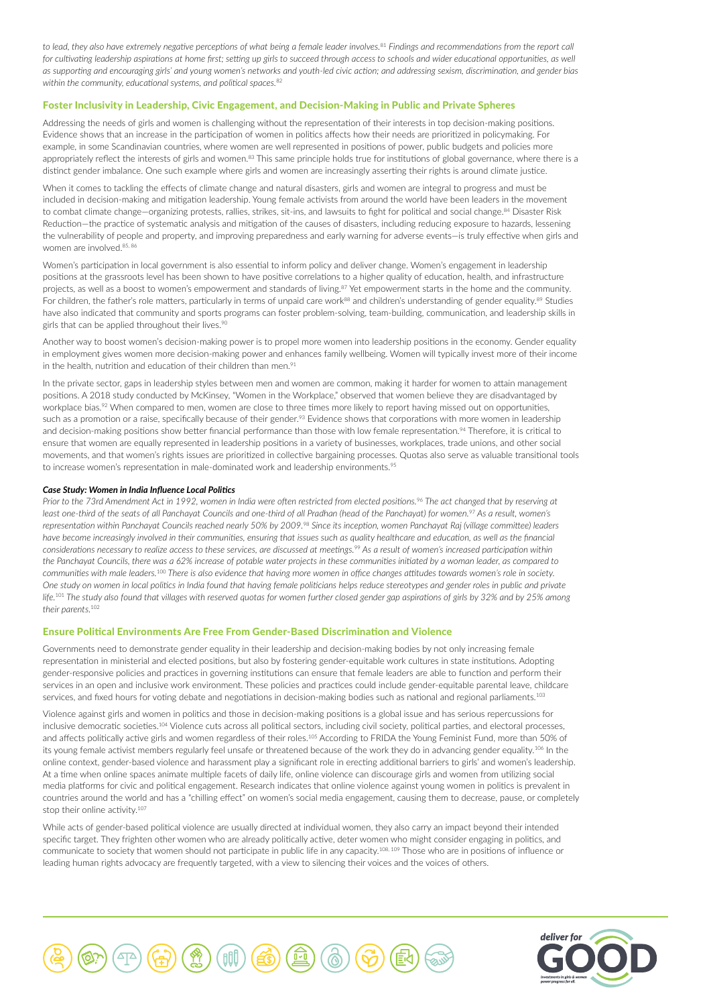*to lead, they also have extremely negative perceptions of what being a female leader involves.*81 *Findings and recommendations from the report call*  for cultivating leadership aspirations at home first; setting up girls to succeed through access to schools and wider educational opportunities, as well *as supporting and encouraging girls' and young women's networks and youth-led civic action; and addressing sexism, discrimination, and gender bias within the community, educational systems, and political spaces.*<sup>82</sup>

## Foster Inclusivity in Leadership, Civic Engagement, and Decision-Making in Public and Private Spheres

Addressing the needs of girls and women is challenging without the representation of their interests in top decision-making positions. Evidence shows that an increase in the participation of women in politics affects how their needs are prioritized in policymaking. For example, in some Scandinavian countries, where women are well represented in positions of power, public budgets and policies more appropriately reflect the interests of girls and women.<sup>83</sup> This same principle holds true for institutions of global governance, where there is a distinct gender imbalance. One such example where girls and women are increasingly asserting their rights is around climate justice.

When it comes to tackling the effects of climate change and natural disasters, girls and women are integral to progress and must be included in decision-making and mitigation leadership. Young female activists from around the world have been leaders in the movement to combat climate change—organizing protests, rallies, strikes, sit-ins, and lawsuits to fight for political and social change.<sup>84</sup> Disaster Risk Reduction—the practice of systematic analysis and mitigation of the causes of disasters, including reducing exposure to hazards, lessening the vulnerability of people and property, and improving preparedness and early warning for adverse events—is truly effective when girls and women are involved.85, 86

Women's participation in local government is also essential to inform policy and deliver change. Women's engagement in leadership positions at the grassroots level has been shown to have positive correlations to a higher quality of education, health, and infrastructure projects, as well as a boost to women's empowerment and standards of living.<sup>87</sup> Yet empowerment starts in the home and the community. For children, the father's role matters, particularly in terms of unpaid care work<sup>88</sup> and children's understanding of gender equality.<sup>89</sup> Studies have also indicated that community and sports programs can foster problem-solving, team-building, communication, and leadership skills in girls that can be applied throughout their lives.90

Another way to boost women's decision-making power is to propel more women into leadership positions in the economy. Gender equality in employment gives women more decision-making power and enhances family wellbeing. Women will typically invest more of their income in the health, nutrition and education of their children than men.<sup>91</sup>

In the private sector, gaps in leadership styles between men and women are common, making it harder for women to attain management positions. A 2018 study conducted by McKinsey, "Women in the Workplace," observed that women believe they are disadvantaged by workplace bias.<sup>92</sup> When compared to men, women are close to three times more likely to report having missed out on opportunities, such as a promotion or a raise, specifically because of their gender.<sup>93</sup> Evidence shows that corporations with more women in leadership and decision-making positions show better financial performance than those with low female representation.<sup>94</sup> Therefore, it is critical to ensure that women are equally represented in leadership positions in a variety of businesses, workplaces, trade unions, and other social movements, and that women's rights issues are prioritized in collective bargaining processes. Quotas also serve as valuable transitional tools to increase women's representation in male-dominated work and leadership environments.<sup>95</sup>

#### *Case Study: Women in India Influence Local Politics*

*Prior to the 73rd Amendment Act in 1992, women in India were often restricted from elected positions.*96 *The act changed that by reserving at least one-third of the seats of all Panchayat Councils and one-third of all Pradhan (head of the Panchayat) for women.*97 *As a result, women's representation within Panchayat Councils reached nearly 50% by 2009.*98 *Since its inception, women Panchayat Raj (village committee) leaders*  have become increasingly involved in their communities, ensuring that issues such as quality healthcare and education, as well as the financial *considerations necessary to realize access to these services, are discussed at meetings.*99 *As a result of women's increased participation within the Panchayat Councils, there was a 62% increase of potable water projects in these communities initiated by a woman leader, as compared to communities with male leaders.*100 *There is also evidence that having more women in office changes attitudes towards women's role in society. One study on women in local politics in India found that having female politicians helps reduce stereotypes and gender roles in public and private life.*101 *The study also found that villages with reserved quotas for women further closed gender gap aspirations of girls by 32% and by 25% among their parents.*<sup>102</sup>

# Ensure Political Environments Are Free From Gender-Based Discrimination and Violence

Governments need to demonstrate gender equality in their leadership and decision-making bodies by not only increasing female representation in ministerial and elected positions, but also by fostering gender-equitable work cultures in state institutions. Adopting gender-responsive policies and practices in governing institutions can ensure that female leaders are able to function and perform their services in an open and inclusive work environment. These policies and practices could include gender-equitable parental leave, childcare services, and fixed hours for voting debate and negotiations in decision-making bodies such as national and regional parliaments.<sup>103</sup>

Violence against girls and women in politics and those in decision-making positions is a global issue and has serious repercussions for inclusive democratic societies.<sup>104</sup> Violence cuts across all political sectors, including civil society, political parties, and electoral processes, and affects politically active girls and women regardless of their roles.<sup>105</sup> According to FRIDA the Young Feminist Fund, more than 50% of its young female activist members regularly feel unsafe or threatened because of the work they do in advancing gender equality.<sup>106</sup> In the online context, gender-based violence and harassment play a significant role in erecting additional barriers to girls' and women's leadership. At a time when online spaces animate multiple facets of daily life, online violence can discourage girls and women from utilizing social media platforms for civic and political engagement. Research indicates that online violence against young women in politics is prevalent in countries around the world and has a "chilling effect" on women's social media engagement, causing them to decrease, pause, or completely stop their online activity.<sup>107</sup>

While acts of gender-based political violence are usually directed at individual women, they also carry an impact beyond their intended specific target. They frighten other women who are already politically active, deter women who might consider engaging in politics, and communicate to society that women should not participate in public life in any capacity.108, 109 Those who are in positions of influence or leading human rights advocacy are frequently targeted, with a view to silencing their voices and the voices of others.



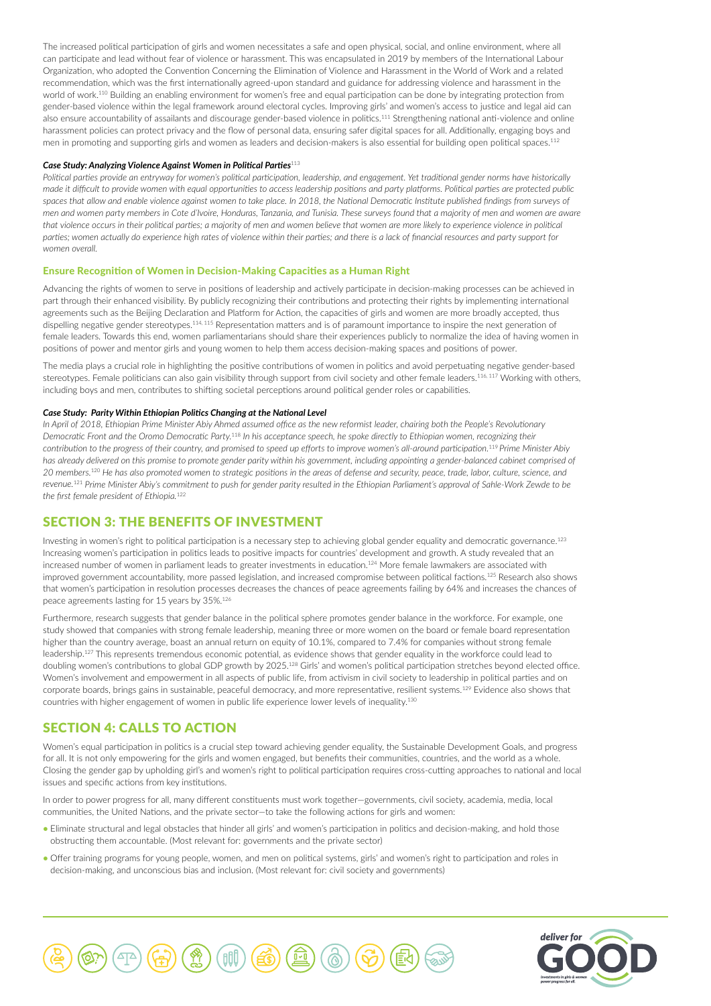The increased political participation of girls and women necessitates a safe and open physical, social, and online environment, where all can participate and lead without fear of violence or harassment. This was encapsulated in 2019 by members of the International Labour Organization, who adopted the Convention Concerning the Elimination of Violence and Harassment in the World of Work and a related recommendation, which was the first internationally agreed-upon standard and guidance for addressing violence and harassment in the world of work.110 Building an enabling environment for women's free and equal participation can be done by integrating protection from gender-based violence within the legal framework around electoral cycles. Improving girls' and women's access to justice and legal aid can also ensure accountability of assailants and discourage gender-based violence in politics.111 Strengthening national anti-violence and online harassment policies can protect privacy and the flow of personal data, ensuring safer digital spaces for all. Additionally, engaging boys and men in promoting and supporting girls and women as leaders and decision-makers is also essential for building open political spaces.<sup>112</sup>

#### *Case Study: Analyzing Violence Against Women in Political Parties*<sup>113</sup>

*Political parties provide an entryway for women's political participation, leadership, and engagement. Yet traditional gender norms have historically made it difficult to provide women with equal opportunities to access leadership positions and party platforms. Political parties are protected public spaces that allow and enable violence against women to take place. In 2018, the National Democratic Institute published findings from surveys of men and women party members in Cote d'Ivoire, Honduras, Tanzania, and Tunisia. These surveys found that a majority of men and women are aware*  that violence occurs in their political parties; a majority of men and women believe that women are more likely to experience violence in political *parties; women actually do experience high rates of violence within their parties; and there is a lack of financial resources and party support for women overall.*

## Ensure Recognition of Women in Decision-Making Capacities as a Human Right

Advancing the rights of women to serve in positions of leadership and actively participate in decision-making processes can be achieved in part through their enhanced visibility. By publicly recognizing their contributions and protecting their rights by implementing international agreements such as the Beijing Declaration and Platform for Action, the capacities of girls and women are more broadly accepted, thus dispelling negative gender stereotypes.114, 115 Representation matters and is of paramount importance to inspire the next generation of female leaders. Towards this end, women parliamentarians should share their experiences publicly to normalize the idea of having women in positions of power and mentor girls and young women to help them access decision-making spaces and positions of power.

The media plays a crucial role in highlighting the positive contributions of women in politics and avoid perpetuating negative gender-based stereotypes. Female politicians can also gain visibility through support from civil society and other female leaders.<sup>116, 117</sup> Working with others, including boys and men, contributes to shifting societal perceptions around political gender roles or capabilities.

#### *Case Study: Parity Within Ethiopian Politics Changing at the National Level*

*In April of 2018, Ethiopian Prime Minister Abiy Ahmed assumed office as the new reformist leader, chairing both the People's Revolutionary Democratic Front and the Oromo Democratic Party.*118 *In his acceptance speech, he spoke directly to Ethiopian women, recognizing their contribution to the progress of their country, and promised to speed up efforts to improve women's all-around participation.*119 *Prime Minister Abiy has already delivered on this promise to promote gender parity within his government, including appointing a gender-balanced cabinet comprised of 20 members.*120 *He has also promoted women to strategic positions in the areas of defense and security, peace, trade, labor, culture, science, and revenue.*121 *Prime Minister Abiy's commitment to push for gender parity resulted in the Ethiopian Parliament's approval of Sahle-Work Zewde to be the first female president of Ethiopia.*<sup>122</sup>

# SECTION 3: THE BENEFITS OF INVESTMENT

Investing in women's right to political participation is a necessary step to achieving global gender equality and democratic governance.123 Increasing women's participation in politics leads to positive impacts for countries' development and growth. A study revealed that an increased number of women in parliament leads to greater investments in education.<sup>124</sup> More female lawmakers are associated with improved government accountability, more passed legislation, and increased compromise between political factions.<sup>125</sup> Research also shows that women's participation in resolution processes decreases the chances of peace agreements failing by 64% and increases the chances of peace agreements lasting for 15 years by 35%.126

Furthermore, research suggests that gender balance in the political sphere promotes gender balance in the workforce. For example, one study showed that companies with strong female leadership, meaning three or more women on the board or female board representation higher than the country average, boast an annual return on equity of 10.1%, compared to 7.4% for companies without strong female leadership.127 This represents tremendous economic potential, as evidence shows that gender equality in the workforce could lead to doubling women's contributions to global GDP growth by 2025.128 Girls' and women's political participation stretches beyond elected office. Women's involvement and empowerment in all aspects of public life, from activism in civil society to leadership in political parties and on corporate boards, brings gains in sustainable, peaceful democracy, and more representative, resilient systems.129 Evidence also shows that countries with higher engagement of women in public life experience lower levels of inequality.130

# SECTION 4: CALLS TO ACTION

Women's equal participation in politics is a crucial step toward achieving gender equality, the Sustainable Development Goals, and progress for all. It is not only empowering for the girls and women engaged, but benefits their communities, countries, and the world as a whole. Closing the gender gap by upholding girl's and women's right to political participation requires cross-cutting approaches to national and local issues and specific actions from key institutions.

In order to power progress for all, many different constituents must work together—governments, civil society, academia, media, local communities, the United Nations, and the private sector—to take the following actions for girls and women:

- Eliminate structural and legal obstacles that hinder all girls' and women's participation in politics and decision-making, and hold those obstructing them accountable. (Most relevant for: governments and the private sector)
- Offer training programs for young people, women, and men on political systems, girls' and women's right to participation and roles in decision-making, and unconscious bias and inclusion. (Most relevant for: civil society and governments)



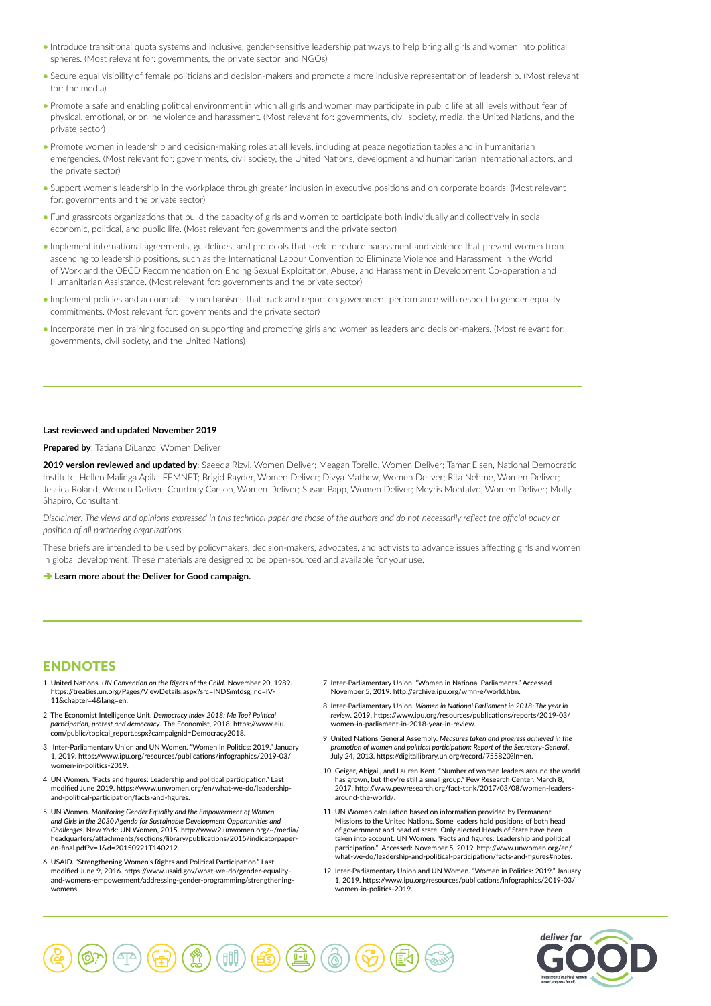- Introduce transitional quota systems and inclusive, gender-sensitive leadership pathways to help bring all girls and women into political spheres. (Most relevant for: governments, the private sector, and NGOs)
- Secure equal visibility of female politicians and decision-makers and promote a more inclusive representation of leadership. (Most relevant for: the media)
- Promote a safe and enabling political environment in which all girls and women may participate in public life at all levels without fear of physical, emotional, or online violence and harassment. (Most relevant for: governments, civil society, media, the United Nations, and the private sector)
- Promote women in leadership and decision-making roles at all levels, including at peace negotiation tables and in humanitarian emergencies. (Most relevant for: governments, civil society, the United Nations, development and humanitarian international actors, and the private sector)
- Support women's leadership in the workplace through greater inclusion in executive positions and on corporate boards. (Most relevant for: governments and the private sector)
- Fund grassroots organizations that build the capacity of girls and women to participate both individually and collectively in social, economic, political, and public life. (Most relevant for: governments and the private sector)
- Implement international agreements, guidelines, and protocols that seek to reduce harassment and violence that prevent women from ascending to leadership positions, such as the International Labour Convention to Eliminate Violence and Harassment in the World of Work and the OECD Recommendation on Ending Sexual Exploitation, Abuse, and Harassment in Development Co-operation and Humanitarian Assistance. (Most relevant for: governments and the private sector)
- Implement policies and accountability mechanisms that track and report on government performance with respect to gender equality commitments. (Most relevant for: governments and the private sector)
- Incorporate men in training focused on supporting and promoting girls and women as leaders and decision-makers. (Most relevant for: governments, civil society, and the United Nations)

#### **Last reviewed and updated November 2019**

#### **Prepared by**: Tatiana DiLanzo, Women Deliver

**2019 version reviewed and updated by**: Saeeda Rizvi, Women Deliver; Meagan Torello, Women Deliver; Tamar Eisen, National Democratic Institute; Hellen Malinga Apila, FEMNET; Brigid Rayder, Women Deliver; Divya Mathew, Women Deliver; Rita Nehme, Women Deliver; Jessica Roland, Women Deliver; Courtney Carson, Women Deliver; Susan Papp, Women Deliver; Meyris Montalvo, Women Deliver; Molly Shapiro, Consultant.

*Disclaimer: The views and opinions expressed in this technical paper are those of the authors and do not necessarily reflect the official policy or position of all partnering organizations.*

These briefs are intended to be used by policymakers, decision-makers, advocates, and activists to advance issues affecting girls and women in global development. These materials are designed to be open-sourced and available for your use.

#### $→$  **[Learn more about the Deliver for Good campaign.](http://www.deliverforgood.org/)**

# **ENDNOTES**

- 1 United Nations. *UN Convention on the Rights of the Child*. November 20, 1989. https://treaties.un.org/Pages/ViewDetails.aspx?src=IND&mtdsg\_no=IV-11&chapter=4&lang=en.
- 2 The Economist Intelligence Unit. *Democracy Index 2018: Me Too? Political participation, protest and democracy*. The Economist, 2018. https://www.eiu. com/public/topical\_report.aspx?campaignid=Democracy2018.
- 3 Inter-Parliamentary Union and UN Women. "Women in Politics: 2019." January 1, 2019. https://www.ipu.org/resources/publications/infographics/2019-03/ women-in-politics-2019.
- 4 UN Women. "Facts and figures: Leadership and political participation." Last modified June 2019. https://www.unwomen.org/en/what-we-do/leadershipand-political-participation/facts-and-figures.
- 5 UN Women. *Monitoring Gender Equality and the Empowerment of Women and Girls in the 2030 Agenda for Sustainable Development Opportunities and Challenges*. New York: UN Women, 2015. http://www2.unwomen.org/~/media/ headquarters/attachments/sections/library/publications/2015/indicatorpaperen-final.pdf?v=1&d=20150921T140212.
- 6 USAID. "Strengthening Women's Rights and Political Participation." Last modified June 9, 2016. https://www.usaid.gov/what-we-do/gender-equalityand-womens-empowerment/addressing-gender-programming/strengtheningwomens.
- 7 Inter-Parliamentary Union. "Women in National Parliaments." Accessed November 5, 2019. http://archive.ipu.org/wmn-e/world.htm.
- 8 Inter-Parliamentary Union. *Women in National Parliament in 2018: The year in review*. 2019. https://www.ipu.org/resources/publications/reports/2019-03/ women-in-parliament-in-2018-year-in-review.
- 9 United Nations General Assembly. *Measures taken and progress achieved in the promotion of women and political participation: Report of the Secretary-General*. July 24, 2013. https://digitallibrary.un.org/record/755820?ln=en.
- 10 Geiger, Abigail, and Lauren Kent. "Number of women leaders around the world has grown, but they're still a small group." Pew Research Center. March 8, 2017. http://www.pewresearch.org/fact-tank/2017/03/08/women-leadersaround-the-world/.
- 11 UN Women calculation based on information provided by Permanent Missions to the United Nations. Some leaders hold positions of both head of government and head of state. Only elected Heads of State have been taken into account. UN Women. "Facts and figures: Leadership and political participation." Accessed: November 5, 2019. http://www.unwomen.org/en/ what-we-do/leadership-and-political-participation/facts-and-figures#notes.
- 12 Inter-Parliamentary Union and UN Women. "Women in Politics: 2019." January 1, 2019. https://www.ipu.org/resources/publications/infographics/2019-03/ women-in-politics-2019.

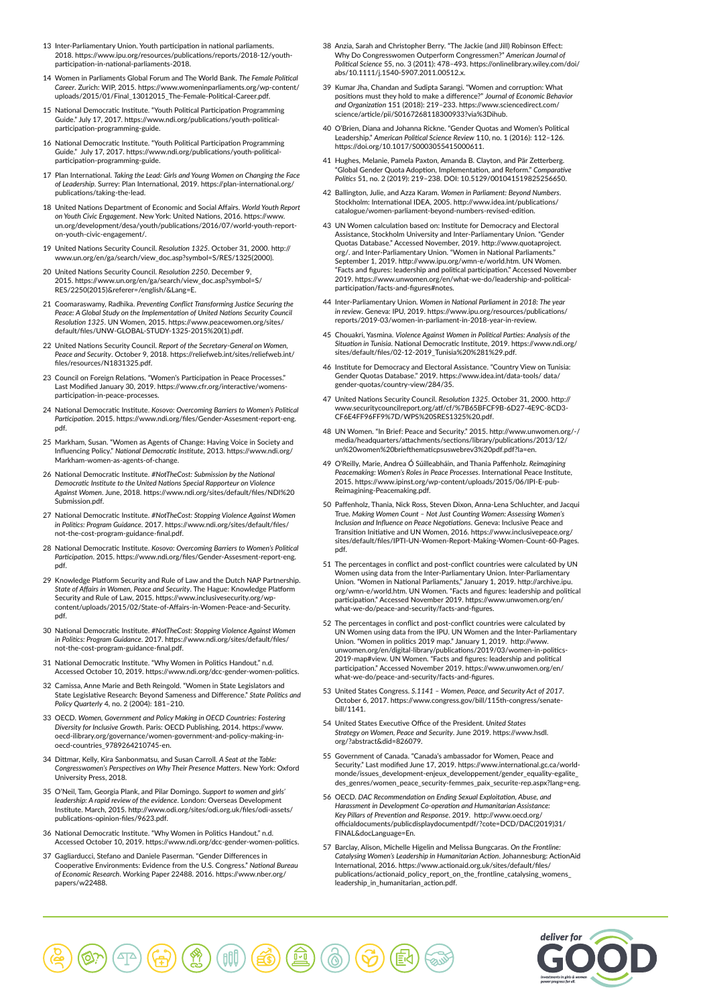- 13 Inter-Parliamentary Union. Youth participation in national parliaments. 2018. https://www.ipu.org/resources/publications/reports/2018-12/youthparticipation-in-national-parliaments-2018.
- 14 Women in Parliaments Global Forum and The World Bank. *The Female Political Career*. Zurich: WIP, 2015. https://www.womeninparliaments.org/wp-content/ uploads/2015/01/Final\_13012015\_The-Female-Political-Career.pdf.
- 15 National Democratic Institute. "Youth Political Participation Programming Guide." July 17, 2017. https://www.ndi.org/publications/youth-politicalparticipation-programming-guide.
- 16 National Democratic Institute. "Youth Political Participation Programming Guide." July 17, 2017. https://www.ndi.org/publications/youth-politicalparticipation-programming-guide.
- 17 Plan International. *Taking the Lead: Girls and Young Women on Changing the Face of Leadership*. Surrey: Plan International, 2019. https://plan-international.org/ publications/taking-the-lead.
- 18 United Nations Department of Economic and Social Affairs. *World Youth Report on Youth Civic Engagement*. New York: United Nations, 2016. https://www. un.org/development/desa/youth/publications/2016/07/world-youth-reporton-youth-civic-engagement/.
- 19 United Nations Security Council. *Resolution 1325*. October 31, 2000. http:// www.un.org/en/ga/search/view\_doc.asp?symbol=S/RES/1325(2000).
- 20 United Nations Security Council. *Resolution 2250*. December 9, 2015. https://www.un.org/en/ga/search/view\_doc.asp?symbol=S/ RES/2250(2015)&referer=/english/&Lang=E.
- 21 Coomaraswamy, Radhika. *Preventing Conflict Transforming Justice Securing the*  Peace: A Global Study on the Implementation of United Nations Security Council *Resolution 1325*. UN Women, 2015. https://www.peacewomen.org/sites/ default/files/UNW-GLOBAL-STUDY-1325-2015%20(1).pdf.
- 22 United Nations Security Council. *Report of the Secretary-General on Women, Peace and Security*. October 9, 2018. https://reliefweb.int/sites/reliefweb.int/ files/resources/N1831325.pdf
- 23 Council on Foreign Relations. "Women's Participation in Peace Processes." Last Modified January 30, 2019. https://www.cfr.org/interactive/womensparticipation-in-peace-processes.
- 24 National Democratic Institute. *Kosovo: Overcoming Barriers to Women's Political Participation*. 2015. https://www.ndi.org/files/Gender-Assesment-report-eng. pdf.
- 25 Markham, Susan. "Women as Agents of Change: Having Voice in Society and Influencing Policy." *National Democratic Institute*, 2013. https://www.ndi.org/ Markham-women-as-agents-of-change.
- 26 National Democratic Institute. *#NotTheCost: Submission by the National Democratic Institute to the United Nations Special Rapporteur on Violence Against Women*. June, 2018. https://www.ndi.org/sites/default/files/NDI%20 Submission.pdf.
- 27 National Democratic Institute. *#NotTheCost: Stopping Violence Against Women in Politics: Program Guidance*. 2017. https://www.ndi.org/sites/default/files/ not-the-cost-program-guidance-final.pdf.
- 28 National Democratic Institute. *Kosovo: Overcoming Barriers to Women's Political Participation*. 2015. https://www.ndi.org/files/Gender-Assesment-report-eng. pdf.
- 29 Knowledge Platform Security and Rule of Law and the Dutch NAP Partnership. *State of Affairs in Women, Peace and Security*. The Hague: Knowledge Platform Security and Rule of Law, 2015. https://www.inclusivesecurity.org/wpcontent/uploads/2015/02/State-of-Affairs-in-Women-Peace-and-Security. pdf.
- 30 National Democratic Institute. *#NotTheCost: Stopping Violence Against Women in Politics: Program Guidance*. 2017. https://www.ndi.org/sites/default/files/ not-the-cost-program-guidance-final.pdf.
- 31 National Democratic Institute. "Why Women in Politics Handout." n.d. Accessed October 10, 2019. https://www.ndi.org/dcc-gender-women-politics.
- 32 Camissa, Anne Marie and Beth Reingold. "Women in State Legislators and State Legislative Research: Beyond Sameness and Difference." *State Politics and Policy Quarterly* 4, no. 2 (2004): 181–210.
- 33 OECD. *Women, Government and Policy Making in OECD Countries: Fostering Diversity for Inclusive Growth*. Paris: OECD Publishing, 2014. https://www. oecd-ilibrary.org/governance/women-government-and-policy-making-inoecd-countries\_9789264210745-en.
- 34 Dittmar, Kelly, Kira Sanbonmatsu, and Susan Carroll. *A Seat at the Table: Congresswomen's Perspectives on Why Their Presence Matters*. New York: Oxford University Press, 2018.
- 35 O'Neil, Tam, Georgia Plank, and Pilar Domingo. *Support to women and girls' leadership: A rapid review of the evidence*. London: Overseas Development Institute. March, 2015. http://www.odi.org/sites/odi.org.uk/files/odi-assets/ publications-opinion-files/9623.pdf.
- 36 National Democratic Institute. "Why Women in Politics Handout." n.d. Accessed October 10, 2019. https://www.ndi.org/dcc-gender-women-politics.
- 37 Gagliarducci, Stefano and Daniele Paserman. "Gender Differences in Cooperative Environments: Evidence from the U.S. Congress." *National Bureau of Economic Research*. Working Paper 22488. 2016. https://www.nber.org/ papers/w22488.
- 38 Anzia, Sarah and Christopher Berry. "The Jackie (and Jill) Robinson Effect: Why Do Congresswomen Outperform Congressmen?" *American Journal of Political Science* 55, no. 3 (2011): 478–493. https://onlinelibrary.wiley.com/doi/ abs/10.1111/j.1540-5907.2011.00512.x.
- 39 Kumar Jha, Chandan and Sudipta Sarangi. "Women and corruption: What positions must they hold to make a difference?" *Journal of Economic Behavior and Organization* 151 (2018): 219–233. https://www.sciencedirect.com/ science/article/pii/S0167268118300933?via%3Dihub.
- 40 O'Brien, Diana and Johanna Rickne. "Gender Quotas and Women's Political Leadership." *American Political Science Review* 110, no. 1 (2016): 112–126. https://doi.org/10.1017/S0003055415000611.
- 41 Hughes, Melanie, Pamela Paxton, Amanda B. Clayton, and Pär Zetterberg. "Global Gender Quota Adoption, Implementation, and Reform." *Comparative Politics* 51, no. 2 (2019): 219–238. DOI: 10.5129/001041519825256650.
- 42 Ballington, Julie, and Azza Karam. *Women in Parliament: Beyond Numbers*. Stockholm: International IDEA, 2005. http://www.idea.int/publications/ catalogue/women-parliament-beyond-numbers-revised-edition.
- 43 UN Women calculation based on: Institute for Democracy and Electoral Assistance, Stockholm University and Inter-Parliamentary Union. "Gender Quotas Database." Accessed November, 2019. http://www.quotaproject. org/. and Inter-Parliamentary Union. "Women in National Parliaments." September 1, 2019. http://www.ipu.org/wmn-e/world.htm. UN Women. "Facts and figures: leadership and political participation." Accessed November 2019. https://www.unwomen.org/en/what-we-do/leadership-and-politicalparticipation/facts-and-figures#note
- 44 Inter-Parliamentary Union. *Women in National Parliament in 2018: The year in review*. Geneva: IPU, 2019. https://www.ipu.org/resources/publications/ reports/2019-03/women-in-parliament-in-2018-year-in-review.
- 45 Chouakri, Yasmina. *Violence Against Women in Political Parties: Analysis of the Situation in Tunisia*. National Democratic Institute, 2019. https://www.ndi.org/ sites/default/files/02-12-2019\_Tunisia%20%281%29.pdf.
- 46 Institute for Democracy and Electoral Assistance. "Country View on Tunisia: Gender Quotas Database." 2019. https://www.idea.int/data-tools/ data/ gender-quotas/country-view/284/35.
- 47 United Nations Security Council. *Resolution 1325*. October 31, 2000. http:// www.securitycouncilreport.org/atf/cf/%7B65BFCF9B-6D27-4E9C-8CD3- CF6E4FF96FF9%7D/WPS%20SRES1325%20.pdf.
- 48 UN Women. "In Brief: Peace and Security." 2015. http://www.unwomen.org/-/ media/headquarters/attachments/sections/library/publications/2013/12/ un%20women%20briefthematicpsuswebrev3%20pdf.pdf?la=en.
- 49 O'Reilly, Marie, Andrea Ó Súilleabháin, and Thania Paffenholz. *Reimagining Peacemaking: Women's Roles in Peace Processes*. International Peace Institute, 2015. https://www.ipinst.org/wp-content/uploads/2015/06/IPI-E-pub-Reimagining-Peacemaking.pdf.
- 50 Paffenholz, Thania, Nick Ross, Steven Dixon, Anna-Lena Schluchter, and Jacqui True. *Making Women Count – Not Just Counting Women: Assessing Women's Inclusion and Influence on Peace Negotiations*. Geneva: Inclusive Peace and Transition Initiative and UN Women, 2016. https://www.inclusivepeace.org/ sites/default/files/IPTI-UN-Women-Report-Making-Women-Count-60-Pages. pdf.
- 51 The percentages in conflict and post-conflict countries were calculated by UN Women using data from the Inter-Parliamentary Union. Inter-Parliamentary Union. "Women in National Parliaments," January 1, 2019. http://archive.ipu. org/wmn-e/world.htm. UN Women. "Facts and figures: leadership and political participation." Accessed November 2019. https://www.unwomen.org/en/ what-we-do/peace-and-security/facts-and-figures.
- 52 The percentages in conflict and post-conflict countries were calculated by UN Women using data from the IPU. UN Women and the Inter-Parliamentary Union. "Women in politics 2019 map." January 1, 2019. http://www. unwomen.org/en/digital-library/publications/2019/03/women-in-politics-2019-map#view. UN Women. "Facts and figures: leadership and political participation." Accessed November 2019. https://www.unwomen.org/en/ what-we-do/peace-and-security/facts-and-figures.
- 53 United States Congress. *S.1141 Women, Peace, and Security Act of 2017*. October 6, 2017. https://www.congress.gov/bill/115th-congress/senatebill/1141.
- 54 United States Executive Office of the President. *United States Strategy on Women, Peace and Security*. June 2019. https://www.hsdl. org/?abstract&did=826079.
- 55 Government of Canada. "Canada's ambassador for Women, Peace and Security." Last modified June 17, 2019. https://www.international.gc.ca/worldmonde/issues\_development-enjeux\_developpement/gender\_equality-egalite\_ des\_genres/women\_peace\_security-femmes\_paix\_securite-rep.aspx?lang=eng.
- 56 OECD. *DAC Recommendation on Ending Sexual Exploitation, Abuse, and Harassment in Development Co-operation and Humanitarian Assistance: Key Pillars of Prevention and Response*. 2019. http://www.oecd.org/ officialdocuments/publicdisplaydocumentpdf/?cote=DCD/DAC(2019)31/ FINAL&docLanguage=En.
- 57 Barclay, Alison, Michelle Higelin and Melissa Bungcaras. *On the Frontline: Catalysing Women's Leadership in Humanitarian Action*. Johannesburg: ActionAid International, 2016. https://www.actionaid.org.uk/sites/default/files/ publications/actionaid\_policy\_report\_on\_the\_frontline\_catalysing\_womens\_ leadership\_in\_humanitarian\_action.pdf.



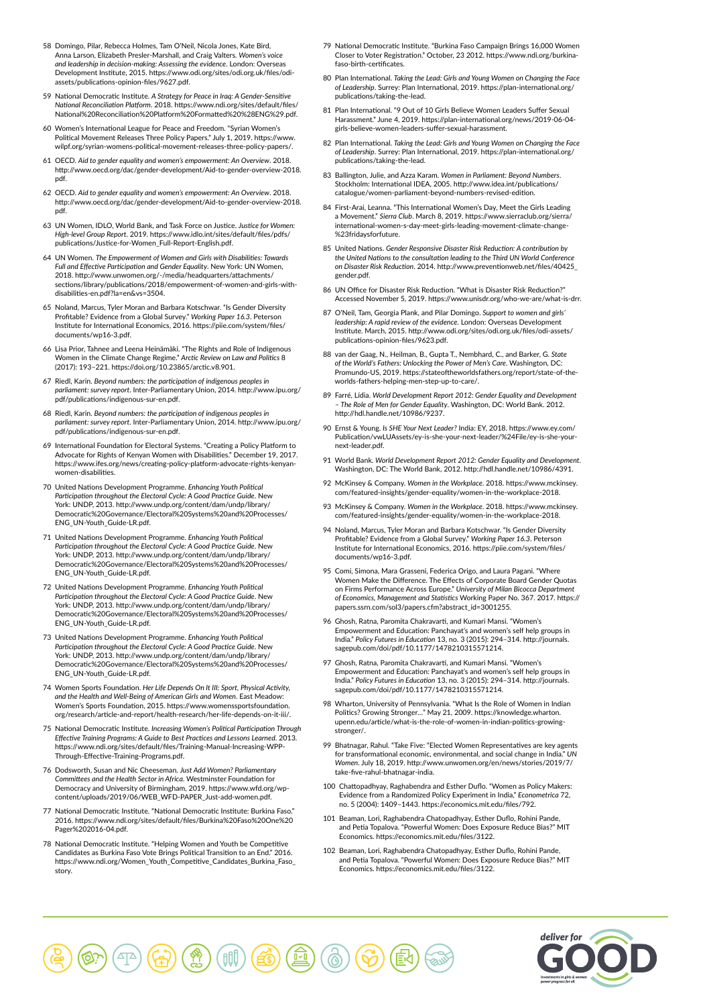- 58 Domingo, Pilar, Rebecca Holmes, Tam O'Neil, Nicola Jones, Kate Bird, Anna Larson, Elizabeth Presler-Marshall, and Craig Valters. *Women's voice and leadership in decision-making: Assessing the evidence*. London: Overseas Development Institute, 2015. https://www.odi.org/sites/odi.org.uk/files/odiassets/publications-opinion-files/9627.pdf.
- 59 National Democratic Institute. *A Strategy for Peace in Iraq: A Gender-Sensitive National Reconciliation Platform*. 2018. https://www.ndi.org/sites/default/files/ National%20Reconciliation%20Platform%20Formatted%20%28ENG%29.pdf.
- 60 Women's International League for Peace and Freedom. "Syrian Women's Political Movement Releases Three Policy Papers." July 1, 2019. https://www. wilpf.org/syrian-womens-political-movement-releases-three-policy-papers/.
- 61 OECD. *Aid to gender equality and women's empowerment: An Overview*. 2018. http://www.oecd.org/dac/gender-development/Aid-to-gender-overview-2018. pdf.
- 62 OECD. *Aid to gender equality and women's empowerment: An Overview*. 2018. http://www.oecd.org/dac/gender-development/Aid-to-gender-overview-2018. pdf.
- 63 UN Women, IDLO, World Bank, and Task Force on Justice. *Justice for Women: High-level Group Report*. 2019. https://www.idlo.int/sites/default/files/pdfs/ publications/Justice-for-Women\_Full-Report-English.pdf.
- 64 UN Women. *The Empowerment of Women and Girls with Disabilities: Towards*  Full and Effective Participation and Gender Equality. New York: UN Wome 2018. http://www.unwomen.org/-/media/headquarters/attachments/ sections/library/publications/2018/empowerment-of-women-and-girls-withdisabilities-en.pdf?la=en&vs=3504.
- 65 Noland, Marcus, Tyler Moran and Barbara Kotschwar. "Is Gender Diversity Profitable? Evidence from a Global Survey." *Working Paper 16.3*. Peterson Institute for International Economics, 2016. https://piie.com/system/files/ documents/wp16-3.pdf.
- 66 Lisa Prior, Tahnee and Leena Heinämäki. "The Rights and Role of Indigenous Women in the Climate Change Regime." *Arctic Review on Law and Politics* 8 (2017): 193–221. https://doi.org/10.23865/arctic.v8.901.
- 67 Riedl, Karin. *Beyond numbers: the participation of indigenous peoples in parliament: survey report*. Inter-Parliamentary Union, 2014. http://www.ipu.org/ pdf/publications/indigenous-sur-en.pdf.
- 68 Riedl, Karin. *Beyond numbers: the participation of indigenous peoples in parliament: survey report*. Inter-Parliamentary Union, 2014. http://www.ipu.org/ pdf/publications/indigenous-sur-en.pdf.
- 69 International Foundation for Electoral Systems. "Creating a Policy Platform to Advocate for Rights of Kenyan Women with Disabilities." December 19, 2017. https://www.ifes.org/news/creating-policy-platform-advocate-rights-kenyannen-disabilities
- 70 United Nations Development Programme. *Enhancing Youth Political Participation throughout the Electoral Cycle: A Good Practice Guide*. New York: UNDP, 2013. http://www.undp.org/content/dam/undp/library/ Democratic%20Governance/Electoral%20Systems%20and%20Processes/ ENG\_UN-Youth\_Guide-LR.pdf.
- 71 United Nations Development Programme. *Enhancing Youth Political Participation throughout the Electoral Cycle: A Good Practice Guide*. New York: UNDP, 2013. http://www.undp.org/content/dam/undp/library/ Democratic%20Governance/Electoral%20Systems%20and%20Processes/ ENG\_UN-Youth\_Guide-LR.pdf.
- 72 United Nations Development Programme. *Enhancing Youth Political Participation throughout the Electoral Cycle: A Good Practice Guide*. New York: UNDP, 2013. http://www.undp.org/content/dam/undp/library/ Democratic%20Governance/Electoral%20Systems%20and%20Processes/ ENG\_UN-Youth\_Guide-LR.pdf.
- 73 United Nations Development Programme. *Enhancing Youth Political Participation throughout the Electoral Cycle: A Good Practice Guide*. New York: UNDP, 2013. http://www.undp.org/content/dam/undp/library/ Democratic%20Governance/Electoral%20Systems%20and%20Processes/ ENG\_UN-Youth\_Guide-LR.pdf.
- 74 Women Sports Foundation. *Her Life Depends On It III: Sport, Physical Activity, and the Health and Well-Being of American Girls and Women*. East Meadow: Women's Sports Foundation, 2015. https://www.womenssportsfoundation. org/research/article-and-report/health-research/her-life-depends-on-it-iii/.
- 75 National Democratic Institute. *Increasing Women's Political Participation Through Effective Training Programs: A Guide to Best Practices and Lessons Learned*. 2013. https://www.ndi.org/sites/default/files/Training-Manual-Increasing-WPP-Through-Effective-Training-Programs.pdf.
- 76 Dodsworth, Susan and Nic Cheeseman. *Just Add Women? Parliamentary Committees and the Health Sector in Africa*. Westminster Foundation for Democracy and University of Birmingham, 2019. https://www.wfd.org/wpcontent/uploads/2019/06/WEB\_WFD-PAPER\_Just-add-women.pdf.
- National Democratic Institute. "National Democratic Institute: Burkina Faso. 2016. https://www.ndi.org/sites/default/files/Burkina%20Faso%20One%20 Pager%202016-04.pdf.
- 78 National Democratic Institute. "Helping Women and Youth be Competitive Candidates as Burkina Faso Vote Brings Political Transition to an End." 2016. https://www.ndi.org/Women\_Youth\_Competitive\_Candidates\_Burkina\_Faso\_ story.
- 79 National Democratic Institute. "Burkina Faso Campaign Brings 16,000 Women Closer to Voter Registration." October, 23 2012. https://www.ndi.org/burkinafaso-birth-certificates.
- 80 Plan International. *Taking the Lead: Girls and Young Women on Changing the Face of Leadership*. Surrey: Plan International, 2019. https://plan-international.org/ publications/taking-the-lead.
- 81 Plan International. "9 Out of 10 Girls Believe Women Leaders Suffer Sexual Harassment." June 4, 2019. https://plan-international.org/news/2019-06-04 girls-believe-women-leaders-suffer-sexual-harassment.
- 82 Plan International. *Taking the Lead: Girls and Young Women on Changing the Face of Leadership*. Surrey: Plan International, 2019. https://plan-international.org/ publications/taking-the-lead.
- 83 Ballington, Julie, and Azza Karam. *Women in Parliament: Beyond Numbers*. Stockholm: International IDEA, 2005. http://www.idea.int/publications/ catalogue/women-parliament-beyond-numbers-revised-edition.
- 84 First-Arai, Leanna. "This International Women's Day, Meet the Girls Leading a Movement." *Sierra Club*. March 8, 2019. https://www.sierraclub.org/sierra/ international-women-s-day-meet-girls-leading-movement-climate-change- 23fridaysforfuture
- 85 United Nations. *Gender Responsive Disaster Risk Reduction: A contribution by*  the United Nations to the consultation leading to the Third UN World Conferenc *on Disaster Risk Reduction*. 2014. http://www.preventionweb.net/files/40425\_ gender.pdf.
- 86 UN Office for Disaster Risk Reduction. "What is Disaster Risk Reduction?" Accessed November 5, 2019. https://www.unisdr.org/who-we-are/what-is-drr.
- 87 O'Neil, Tam, Georgia Plank, and Pilar Domingo. *Support to women and girls' leadership: A rapid review of the evidence*. London: Overseas Development Institute. March, 2015. http://www.odi.org/sites/odi.org.uk/files/odi-assets/ publications-opinion-files/9623.pdf.
- 88 van der Gaag, N., Heilman, B., Gupta T., Nembhard, C., and Barker, G. *State of the World's Fathers: Unlocking the Power of Men's Care*. Washington, DC: Promundo-US, 2019. https://stateoftheworldsfathers.org/report/state-of-theworlds-fathers-helping-men-step-up-to-care/.
- 89 Farré, Lídia. World Development Report 2012: Gender Equality and Developmen *– The Role of Men for Gender Equality*. Washington, DC: World Bank. 2012. http://hdl.handle.net/10986/9237.
- 90 Ernst & Young. *Is SHE Your Next Leader?* India: EY, 2018. https://www.ey.com/ Publication/vwLUAssets/ey-is-she-your-next-leader/%24File/ey-is-she-yournext-leader.pdf.
- 91 World Bank. *World Development Report 2012: Gender Equality and Development*. Washington, DC: The World Bank, 2012. http://hdl.handle.net/10986/4391.
- 92 McKinsey & Company. *Women in the Workplace*. 2018. https://www.mckinsey. com/featured-insights/gender-equality/women-in-the-workplace-2018.
- 93 McKinsey & Company. *Women in the Workplace*. 2018. https://www.mckinsey. com/featured-insights/gender-equality/women-in-the-workplace-2018.
- 94 Noland, Marcus, Tyler Moran and Barbara Kotschwar. "Is Gender Diversity Profitable? Evidence from a Global Survey." *Working Paper 16.3*. Peterson Institute for International Economics, 2016. https://piie.com/system/files/ documents/wp16-3.pdf.
- 95 Comi, Simona, Mara Grasseni, Federica Origo, and Laura Pagani. "Where Women Make the Difference. The Effects of Corporate Board Gender Quotas on Firms Performance Across Europe." University of Milan Bicocca Depa *of Economics, Management and Statistics* Working Paper No. 367. 2017. https:// papers.ssrn.com/sol3/papers.cfm?abstract\_id=3001255.
- 96 Ghosh, Ratna, Paromita Chakravarti, and Kumari Mansi. "Women's Empowerment and Education: Panchayat's and women's self help groups in India." *Policy Futures in Education* 13, no. 3 (2015): 294–314. http://journals. sagepub.com/doi/pdf/10.1177/1478210315571214.
- 97 Ghosh, Ratna, Paromita Chakravarti, and Kumari Mansi. "Women's Empowerment and Education: Panchayat's and women's self help groups in India." *Policy Futures in Education* 13, no. 3 (2015): 294–314. http://journals. sagepub.com/doi/pdf/10.1177/1478210315571214.
- 98 Wharton, University of Pennsylvania. "What Is the Role of Women in Indian Politics? Growing Stronger…" May 21, 2009. https://knowledge.wharton. upenn.edu/article/what-is-the-role-of-women-in-indian-politics-growingstronger/.
- 99 Bhatnagar, Rahul. "Take Five: "Elected Women Representatives are key agents for transformational economic, environmental, and social change in India." *UN Women*. July 18, 2019. http://www.unwomen.org/en/news/stories/2019/7/ take-five-rahul-bhatnagar-india.
- 100 Chattopadhyay, Raghabendra and Esther Duflo. "Women as Policy Makers: Evidence from a Randomized Policy Experiment in India," *Econometrica* 72, no. 5 (2004): 1409–1443. https://economics.mit.edu/files/792.
- 101 Beaman, Lori, Raghabendra Chatopadhyay, Esther Duflo, Rohini Pande, and Petia Topalova. "Powerful Women: Does Exposure Reduce Bias?" MIT Economics. https://economics.mit.edu/files/3122.
- 102 Beaman, Lori, Raghabendra Chatopadhyay, Esther Duflo, Rohini Pande, and Petia Topalova. "Powerful Women: Does Exposure Reduce Bias?" MIT Economics. https://economics.mit.edu/files/3122.